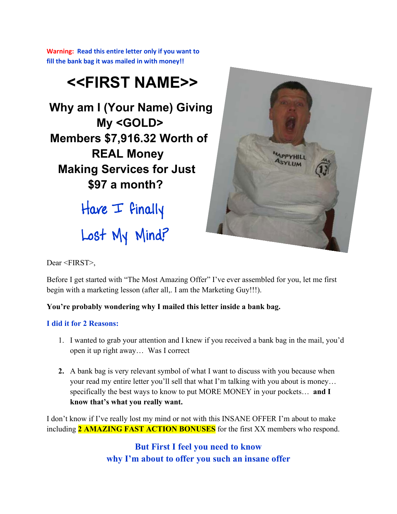**Warning: Read this entire letter only if you want to fill the bank bag it was mailed in with money!!**

# **<<FIRST NAME>>**

**Why am I (Your Name) Giving My <GOLD> Members \$7,916.32 Worth of REAL Money Making Services for Just \$97 a month?**

> Have  $\perp$  finally Lost My Mind?



Dear <FIRST>,

Before I get started with "The Most Amazing Offer" I've ever assembled for you, let me first begin with a marketing lesson (after all,. I am the Marketing Guy!!!).

## **You're probably wondering why I mailed this letter inside a bank bag.**

## **I did it for 2 Reasons:**

- 1. I wanted to grab your attention and I knew if you received a bank bag in the mail, you'd open it up right away… Was I correct
- **2.** A bank bag is very relevant symbol of what I want to discuss with you because when your read my entire letter you'll sell that what I'm talking with you about is money… specifically the best ways to know to put MORE MONEY in your pockets… **and I know that's what you really want.**

I don't know if I've really lost my mind or not with this INSANE OFFER I'm about to make including **2 AMAZING FAST ACTION BONUSES** for the first XX members who respond.

> **But First I feel you need to know why I'm about to offer you such an insane offer**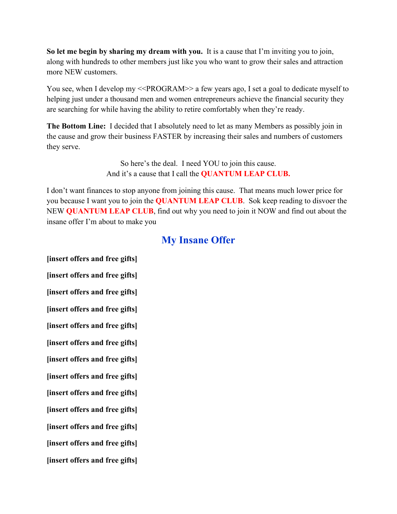**So let me begin by sharing my dream with you.** It is a cause that I'm inviting you to join, along with hundreds to other members just like you who want to grow their sales and attraction more NEW customers.

You see, when I develop my <<PROGRAM>> a few years ago, I set a goal to dedicate myself to helping just under a thousand men and women entrepreneurs achieve the financial security they are searching for while having the ability to retire comfortably when they're ready.

**The Bottom Line:** I decided that I absolutely need to let as many Members as possibly join in the cause and grow their business FASTER by increasing their sales and numbers of customers they serve.

> So here's the deal. I need YOU to join this cause. And it's a cause that I call the **QUANTUM LEAP CLUB.**

I don't want finances to stop anyone from joining this cause. That means much lower price for you because I want you to join the **QUANTUM LEAP CLUB**. Sok keep reading to disvoer the NEW **QUANTUM LEAP CLUB**, find out why you need to join it NOW and find out about the insane offer I'm about to make you

## **My Insane Offer**

**[insert offers and free gifts] [insert offers and free gifts] [insert offers and free gifts] [insert offers and free gifts] [insert offers and free gifts] [insert offers and free gifts] [insert offers and free gifts] [insert offers and free gifts] [insert offers and free gifts] [insert offers and free gifts] [insert offers and free gifts] [insert offers and free gifts] [insert offers and free gifts]**